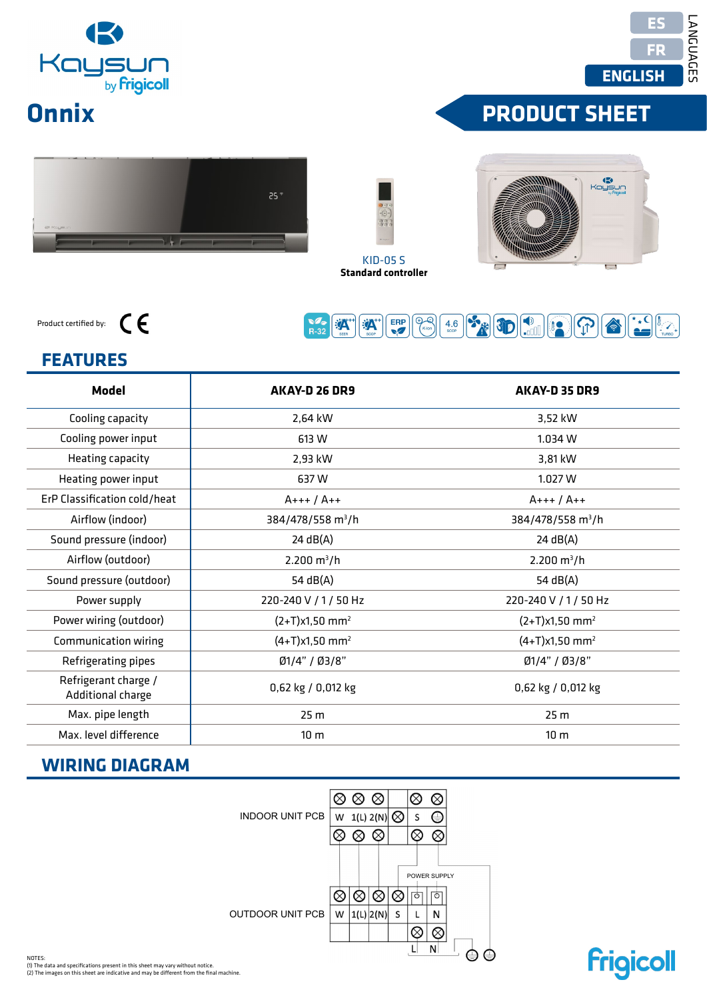| <b>IKI</b> |                               |  |  |  |
|------------|-------------------------------|--|--|--|
|            | Kaysun<br>by <b>Frigicoll</b> |  |  |  |

# **Onnix**

**Frigicoll** 

# **FRODUCT SHEET**





Product certified by:



# $FEATURES$

| <b>Model</b>                              | AKAY-D 26 DR9                                                                                                                                                                             | AKAY-D 35 DR9                    |
|-------------------------------------------|-------------------------------------------------------------------------------------------------------------------------------------------------------------------------------------------|----------------------------------|
| Cooling capacity                          | 2,64 kW                                                                                                                                                                                   | 3,52 kW                          |
| Cooling power input                       | 613 W                                                                                                                                                                                     | 1.034W                           |
| Heating capacity                          | 2,93 kW                                                                                                                                                                                   | 3,81 kW                          |
| Heating power input                       | 637W                                                                                                                                                                                      | 1.027W                           |
| ErP Classification cold/heat              | $A+++ / A++$                                                                                                                                                                              | $A+++ / A++$                     |
| Airflow (indoor)                          | 384/478/558 m <sup>3</sup> /h                                                                                                                                                             | 384/478/558 m <sup>3</sup> /h    |
| Sound pressure (indoor)                   | 24 dB(A)                                                                                                                                                                                  | 24 dB(A)                         |
| Airflow (outdoor)                         | 2.200 $m^3/h$                                                                                                                                                                             | $2.200 \text{ m}^3/h$            |
| Sound pressure (outdoor)                  | 54 dB(A)                                                                                                                                                                                  | 54 dB(A)                         |
| Power supply                              | 220-240 V / 1 / 50 Hz                                                                                                                                                                     | 220-240 V / 1 / 50 Hz            |
| Power wiring (outdoor)                    | $(2+T)x1,50$ mm <sup>2</sup>                                                                                                                                                              | $(2+T)x1,50$ mm <sup>2</sup>     |
| Communication wiring                      | $(4+T)x1,50$ mm <sup>2</sup>                                                                                                                                                              | $(4+T)x1,50$ mm <sup>2</sup>     |
| Refrigerating pipes                       | Ø1/4" / Ø3/8"                                                                                                                                                                             | Ø1/4" / Ø3/8"                    |
| Refrigerant charge /<br>Additional charge | 0,62 kg / 0,012 kg                                                                                                                                                                        | 0,62 kg / 0,012 kg               |
| Max. pipe length                          | 25 <sub>m</sub>                                                                                                                                                                           | 25 <sub>m</sub>                  |
| Max. level difference                     | 10 <sub>m</sub>                                                                                                                                                                           | 10 <sub>m</sub>                  |
| <b>WIRING DIAGRAM</b>                     |                                                                                                                                                                                           |                                  |
|                                           | $\otimes \otimes \otimes$<br>$\otimes$<br>W 1(L) 2(N) $\otimes$<br><b>INDOOR UNIT PCB</b><br>S<br>$\otimes \otimes \otimes$<br>⊗<br>POWER SUPPLY<br>⊗∣⊗∣⊗<br>ार्क<br>⊗<br>W $ 1(L) 2(N) $ | $\otimes$<br>⊜<br>$\otimes$<br>ा |

KID-05 S

**Standard controller Télécommande incluse Control incluido de serie**

#### **WIRING DIAGRAM**